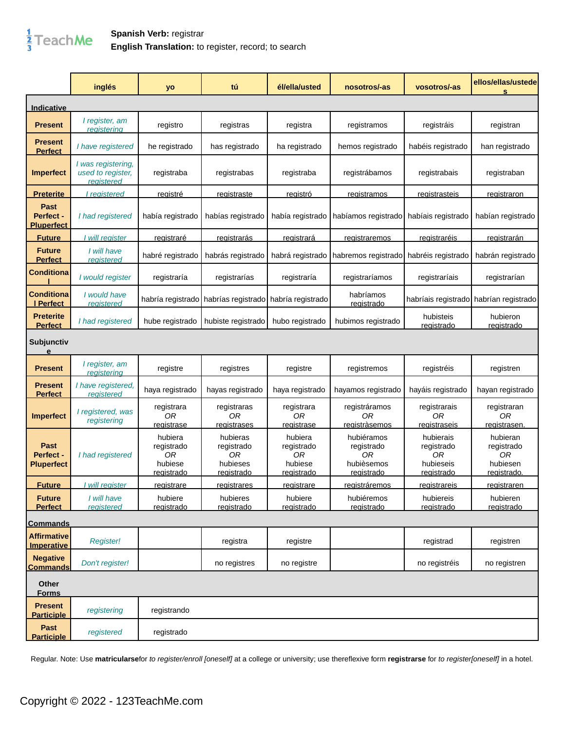

## **Spanish Verb:** registrar **English Translation:** to register, record; to search

|                                               | inglés                                                       | yo                                                          | tú                                                            | él/ella/usted                                               | nosotros/-as                                                      | vosotros/-as                                                    | ellos/ellas/ustede<br>s                                        |
|-----------------------------------------------|--------------------------------------------------------------|-------------------------------------------------------------|---------------------------------------------------------------|-------------------------------------------------------------|-------------------------------------------------------------------|-----------------------------------------------------------------|----------------------------------------------------------------|
| <b>Indicative</b>                             |                                                              |                                                             |                                                               |                                                             |                                                                   |                                                                 |                                                                |
| <b>Present</b>                                | I register, am<br><u>registering</u>                         | registro                                                    | registras                                                     | registra                                                    | registramos                                                       | registráis                                                      | registran                                                      |
| <b>Present</b><br><b>Perfect</b>              | I have registered                                            | he registrado                                               | has registrado                                                | ha registrado                                               | hemos registrado                                                  | habéis registrado                                               | han registrado                                                 |
| <b>Imperfect</b>                              | I was registering,<br>used to register,<br><u>reaistered</u> | registraba                                                  | registrabas                                                   | registraba                                                  | registrábamos                                                     | registrabais                                                    | registraban                                                    |
| <u>Preterite</u>                              | I reaistered                                                 | <u>reaistré</u>                                             | registraste                                                   | <u>reaistró</u>                                             | registramos                                                       | <u>registrasteis</u>                                            | <u>registraron</u>                                             |
| <b>Past</b><br>Perfect -<br><b>Pluperfect</b> | I had registered                                             | había registrado                                            | habías registrado                                             | había registrado                                            | habíamos registrado                                               | habíais registrado                                              | habían registrado                                              |
| <b>Future</b>                                 | will register                                                | <u>registraré</u>                                           | registrarás                                                   | <u>registrará</u>                                           | <u>registraremos</u>                                              | registraréis                                                    | registrarán                                                    |
| <b>Future</b><br><b>Perfect</b>               | I will have<br>registered                                    | habré registrado                                            | habrás registrado                                             | habrá registrado                                            | habremos registrado                                               | habréis registrado                                              | habrán registrado                                              |
| <b>Conditiona</b>                             | I would register                                             | registraría                                                 | registrarías                                                  | registraría                                                 | registraríamos                                                    | registraríais                                                   | registrarían                                                   |
| <b>Conditiona</b><br>I Perfect                | I would have<br>registered                                   | habría registrado                                           | habrías registrado                                            | habría registrado                                           | habríamos<br><u>reqistrado</u>                                    | habríais registrado                                             | habrían registrado                                             |
| <b>Preterite</b><br><b>Perfect</b>            | I had registered                                             | hube registrado                                             | hubiste registrado                                            | hubo registrado                                             | hubimos registrado                                                | hubisteis<br>registrado                                         | hubieron<br>registrado                                         |
| <b>Subjunctiv</b><br>e                        |                                                              |                                                             |                                                               |                                                             |                                                                   |                                                                 |                                                                |
| <b>Present</b>                                | I register, am<br><u>reaisterina</u>                         | registre                                                    | registres                                                     | registre                                                    | registremos                                                       | registréis                                                      | registren                                                      |
| <b>Present</b><br><b>Perfect</b>              | I have registered,<br>registered                             | haya registrado                                             | hayas registrado                                              | haya registrado                                             | hayamos registrado                                                | hayáis registrado                                               | hayan registrado                                               |
| <b>Imperfect</b>                              | I registered, was<br>registering                             | registrara<br>0R<br><u>registrase</u>                       | registraras<br>ОR<br>registrases                              | registrara<br>0R<br>registrase                              | registráramos<br>0R<br><u>reaistràsemos</u>                       | registrarais<br>0R<br><u>registraseis</u>                       | registraran<br>0R<br>registrasen                               |
| <b>Past</b><br>Perfect -<br><b>Pluperfect</b> | I had registered                                             | hubiera<br>registrado<br>0R<br>hubiese<br><u>registrado</u> | hubieras<br>registrado<br>0R<br>hubieses<br><u>registrado</u> | hubiera<br>registrado<br>0R<br>hubiese<br><u>registrado</u> | hubiéramos<br>registrado<br>0R<br>hubièsemos<br><u>registrado</u> | hubierais<br>registrado<br>0R<br>hubieseis<br><u>registrado</u> | hubieran<br>registrado<br>0R<br>hubiesen<br><u>reqistrado.</u> |
| <b>Future</b>                                 | will register                                                | <u>registrare</u>                                           | <u>reqistrares</u>                                            | <u>registrare</u>                                           | <u>reqistràremos</u>                                              | <u>reqistrareis</u>                                             | <u>reqistraren</u>                                             |
| <b>Future</b><br><b>Perfect</b>               | I will have<br>registered                                    | hubiere<br>registrado                                       | hubieres<br>registrado                                        | hubiere<br>registrado                                       | hubiéremos<br>registrado                                          | hubiereis<br>registrado                                         | hubieren<br>registrado                                         |
| <b>Commands</b>                               |                                                              |                                                             |                                                               |                                                             |                                                                   |                                                                 |                                                                |
| <b>Affirmative</b><br><b>Imperative</b>       | <b>Register!</b>                                             |                                                             | registra                                                      | registre                                                    |                                                                   | registrad                                                       | registren                                                      |
| <b>Negative</b><br><b>Commands</b>            | Don't register!                                              |                                                             | no registres                                                  | no registre                                                 |                                                                   | no registréis                                                   | no registren                                                   |
| <b>Other</b><br><b>Forms</b>                  |                                                              |                                                             |                                                               |                                                             |                                                                   |                                                                 |                                                                |
| <b>Present</b><br><b>Participle</b>           | registering                                                  | registrando                                                 |                                                               |                                                             |                                                                   |                                                                 |                                                                |
| Past<br><b>Participle</b>                     | registered                                                   | registrado                                                  |                                                               |                                                             |                                                                   |                                                                 |                                                                |

Regular. Note: Use **matricularse**for to register/enroll [oneself] at a college or university; use thereflexive form **registrarse** for to register[oneself] in a hotel.